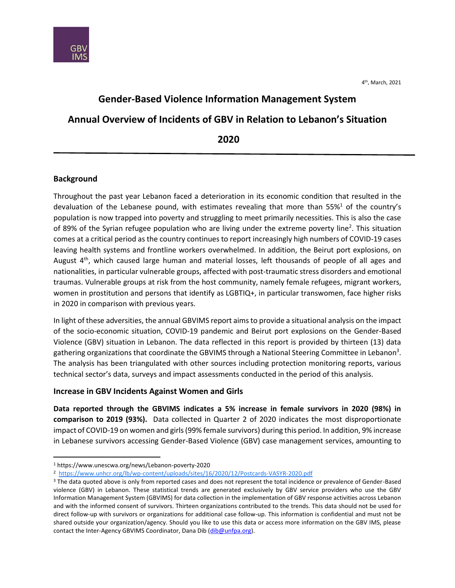

# **Gender-Based Violence Information Management System Annual Overview of Incidents of GBV in Relation to Lebanon's Situation 2020**

## **Background**

 $\overline{\phantom{a}}$ 

Throughout the past year Lebanon faced a deterioration in its economic condition that resulted in the devaluation of the Lebanese pound, with estimates revealing that more than  $55\%$ <sup>1</sup> of the country's population is now trapped into poverty and struggling to meet primarily necessities. This is also the case of 89% of the Syrian refugee population who are living under the extreme poverty line<sup>2</sup>. This situation comes at a critical period as the country continues to report increasingly high numbers of COVID-19 cases leaving health systems and frontline workers overwhelmed. In addition, the Beirut port explosions, on August  $4<sup>th</sup>$ , which caused large human and material losses, left thousands of people of all ages and nationalities, in particular vulnerable groups, affected with post-traumatic stress disorders and emotional traumas. Vulnerable groups at risk from the host community, namely female refugees, migrant workers, women in prostitution and persons that identify as LGBTIQ+, in particular transwomen, face higher risks in 2020 in comparison with previous years.

In light of these adversities, the annual GBVIMS report aims to provide a situational analysis on the impact of the socio-economic situation, COVID-19 pandemic and Beirut port explosions on the Gender-Based Violence (GBV) situation in Lebanon. The data reflected in this report is provided by thirteen (13) data gathering organizations that coordinate the GBVIMS through a National Steering Committee in Lebanon<sup>3</sup>. The analysis has been triangulated with other sources including protection monitoring reports, various technical sector's data, surveys and impact assessments conducted in the period of this analysis.

## **Increase in GBV Incidents Against Women and Girls**

**Data reported through the GBVIMS indicates a 5% increase in female survivors in 2020 (98%) in comparison to 2019 (93%).** Data collected in Quarter 2 of 2020 indicates the most disproportionate impact of COVID-19 on women and girls (99% female survivors) during this period. In addition, 9% increase in Lebanese survivors accessing Gender-Based Violence (GBV) case management services, amounting to

<sup>1</sup> https://www.unescwa.org/news/Lebanon-poverty-2020

<sup>2</sup> <https://www.unhcr.org/lb/wp-content/uploads/sites/16/2020/12/Postcards-VASYR-2020.pdf>

<sup>&</sup>lt;sup>3</sup> The data quoted above is only from reported cases and does not represent the total incidence or prevalence of Gender-Based violence (GBV) in Lebanon. These statistical trends are generated exclusively by GBV service providers who use the GBV Information Management System (GBVIMS) for data collection in the implementation of GBV response activities across Lebanon and with the informed consent of survivors. Thirteen organizations contributed to the trends. This data should not be used for direct follow-up with survivors or organizations for additional case follow-up. This information is confidential and must not be shared outside your organization/agency. Should you like to use this data or access more information on the GBV IMS, please contact the Inter-Agency GBVIMS Coordinator, Dana Dib [\(dib@unfpa.org\)](mailto:dib@unfpa.org).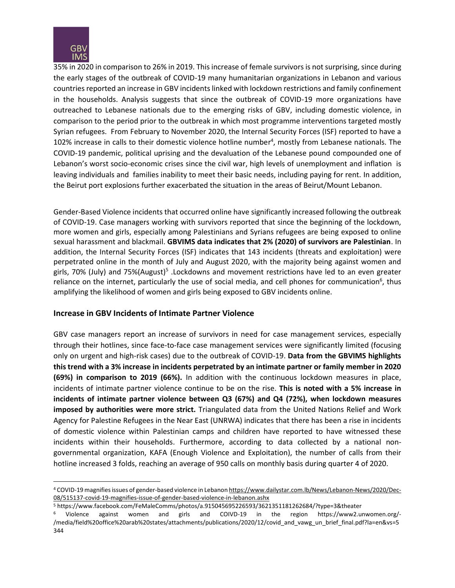

 $\overline{\phantom{a}}$ 

35% in 2020 in comparison to 26% in 2019. This increase of female survivors is not surprising, since during the early stages of the outbreak of COVID-19 many humanitarian organizations in Lebanon and various countries reported an increase in GBV incidents linked with lockdown restrictions and family confinement in the households. Analysis suggests that since the outbreak of COVID-19 more organizations have outreached to Lebanese nationals due to the emerging risks of GBV, including domestic violence, in comparison to the period prior to the outbreak in which most programme interventions targeted mostly Syrian refugees. From February to November 2020, the Internal Security Forces (ISF) reported to have a 102% increase in calls to their domestic violence hotline number<sup>4</sup>, mostly from Lebanese nationals. The COVID-19 pandemic, political uprising and the devaluation of the Lebanese pound compounded one of Lebanon's worst socio-economic crises since the civil war, high levels of unemployment and inflation is leaving individuals and families inability to meet their basic needs, including paying for rent. In addition, the Beirut port explosions further exacerbated the situation in the areas of Beirut/Mount Lebanon.

Gender-Based Violence incidents that occurred online have significantly increased following the outbreak of COVID-19. Case managers working with survivors reported that since the beginning of the lockdown, more women and girls, especially among Palestinians and Syrians refugees are being exposed to online sexual harassment and blackmail. **GBVIMS data indicates that 2% (2020) of survivors are Palestinian**. In addition, the Internal Security Forces (ISF) indicates that 143 incidents (threats and exploitation) were perpetrated online in the month of July and August 2020, with the majority being against women and girls, 70% (July) and 75%(August)<sup>5</sup> .Lockdowns and movement restrictions have led to an even greater reliance on the internet, particularly the use of social media, and cell phones for communication<sup>6</sup>, thus amplifying the likelihood of women and girls being exposed to GBV incidents online.

## **Increase in GBV Incidents of Intimate Partner Violence**

GBV case managers report an increase of survivors in need for case management services, especially through their hotlines, since face-to-face case management services were significantly limited (focusing only on urgent and high-risk cases) due to the outbreak of COVID-19. **Data from the GBVIMS highlights this trend with a 3% increase in incidents perpetrated by an intimate partner or family member in 2020 (69%) in comparison to 2019 (66%).** In addition with the continuous lockdown measures in place, incidents of intimate partner violence continue to be on the rise. **This is noted with a 5% increase in incidents of intimate partner violence between Q3 (67%) and Q4 (72%), when lockdown measures imposed by authorities were more strict.** Triangulated data from the United Nations Relief and Work Agency for Palestine Refugees in the Near East (UNRWA) indicates that there has been a rise in incidents of domestic violence within Palestinian camps and children have reported to have witnessed these incidents within their households. Furthermore, according to data collected by a national nongovernmental organization, KAFA (Enough Violence and Exploitation), the number of calls from their hotline increased 3 folds, reaching an average of 950 calls on monthly basis during quarter 4 of 2020.

<sup>4</sup> COVID-19 magnifies issues of gender-based violence in Lebano[n https://www.dailystar.com.lb/News/Lebanon-News/2020/Dec-](https://www.dailystar.com.lb/News/Lebanon-News/2020/Dec-08/515137-covid-19-magnifies-issue-of-gender-based-violence-in-lebanon.ashx)[08/515137-covid-19-magnifies-issue-of-gender-based-violence-in-lebanon.ashx](https://www.dailystar.com.lb/News/Lebanon-News/2020/Dec-08/515137-covid-19-magnifies-issue-of-gender-based-violence-in-lebanon.ashx)

<sup>5</sup> https://www.facebook.com/FeMaleComms/photos/a.915045695226593/3621351181262684/?type=3&theater

<sup>6</sup> Violence against women and girls and COIVD-19 in the region https://www2.unwomen.org/- /media/field%20office%20arab%20states/attachments/publications/2020/12/covid\_and\_vawg\_un\_brief\_final.pdf?la=en&vs=5 344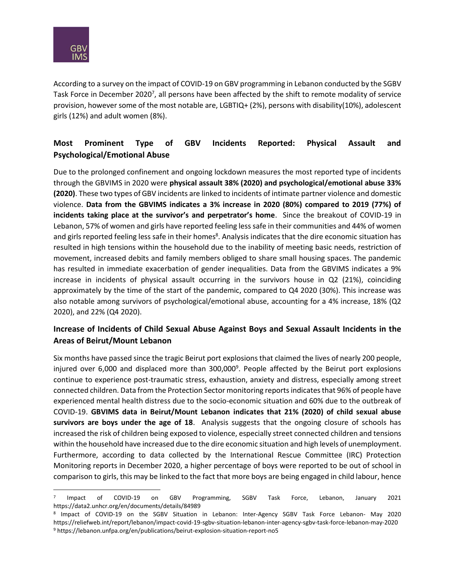

 $\overline{\phantom{a}}$ 

According to a survey on the impact of COVID-19 on GBV programming in Lebanon conducted by the SGBV Task Force in December 2020<sup>7</sup>, all persons have been affected by the shift to remote modality of service provision, however some of the most notable are, LGBTIQ+ (2%), persons with disability(10%), adolescent girls (12%) and adult women (8%).

## **Most Prominent Type of GBV Incidents Reported: Physical Assault and Psychological/Emotional Abuse**

Due to the prolonged confinement and ongoing lockdown measures the most reported type of incidents through the GBVIMS in 2020 were **physical assault 38% (2020) and psychological/emotional abuse 33% (2020)**. These two types of GBV incidents are linked to incidents of intimate partner violence and domestic violence. **Data from the GBVIMS indicates a 3% increase in 2020 (80%) compared to 2019 (77%) of incidents taking place at the survivor's and perpetrator's home**. Since the breakout of COVID-19 in Lebanon, 57% of women and girls have reported feeling less safe in their communities and 44% of women and girls reported feeling less safe in their homes<sup>8</sup>. Analysis indicates that the dire economic situation has resulted in high tensions within the household due to the inability of meeting basic needs, restriction of movement, increased debits and family members obliged to share small housing spaces. The pandemic has resulted in immediate exacerbation of gender inequalities. Data from the GBVIMS indicates a 9% increase in incidents of physical assault occurring in the survivors house in Q2 (21%), coinciding approximately by the time of the start of the pandemic, compared to Q4 2020 (30%). This increase was also notable among survivors of psychological/emotional abuse, accounting for a 4% increase, 18% (Q2 2020), and 22% (Q4 2020).

## **Increase of Incidents of Child Sexual Abuse Against Boys and Sexual Assault Incidents in the Areas of Beirut/Mount Lebanon**

Six months have passed since the tragic Beirut port explosions that claimed the lives of nearly 200 people, injured over 6,000 and displaced more than 300,000<sup>9</sup>. People affected by the Beirut port explosions continue to experience post-traumatic stress, exhaustion, anxiety and distress, especially among street connected children. Data from the Protection Sector monitoring reports indicates that 96% of people have experienced mental health distress due to the socio-economic situation and 60% due to the outbreak of COVID-19. **GBVIMS data in Beirut/Mount Lebanon indicates that 21% (2020) of child sexual abuse survivors are boys under the age of 18**. Analysis suggests that the ongoing closure of schools has increased the risk of children being exposed to violence, especially street connected children and tensions within the household have increased due to the dire economic situation and high levels of unemployment. Furthermore, according to data collected by the International Rescue Committee (IRC) Protection Monitoring reports in December 2020, a higher percentage of boys were reported to be out of school in comparison to girls, this may be linked to the fact that more boys are being engaged in child labour, hence

<sup>7</sup> Impact of COVID-19 on GBV Programming, SGBV Task Force, Lebanon, January 2021 https://data2.unhcr.org/en/documents/details/84989

<sup>8</sup> Impact of COVID-19 on the SGBV Situation in Lebanon: Inter-Agency SGBV Task Force Lebanon- May 2020 https://reliefweb.int/report/lebanon/impact-covid-19-sgbv-situation-lebanon-inter-agency-sgbv-task-force-lebanon-may-2020 <sup>9</sup> https://lebanon.unfpa.org/en/publications/beirut-explosion-situation-report-no5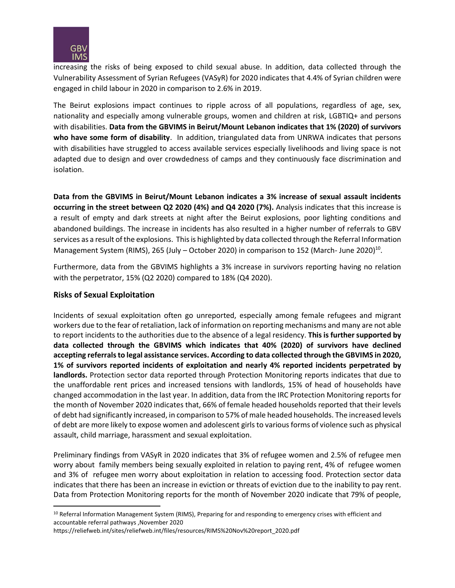

increasing the risks of being exposed to child sexual abuse. In addition, data collected through the Vulnerability Assessment of Syrian Refugees (VASyR) for 2020 indicates that 4.4% of Syrian children were engaged in child labour in 2020 in comparison to 2.6% in 2019.

The Beirut explosions impact continues to ripple across of all populations, regardless of age, sex, nationality and especially among vulnerable groups, women and children at risk, LGBTIQ+ and persons with disabilities. **Data from the GBVIMS in Beirut/Mount Lebanon indicates that 1% (2020) of survivors who have some form of disability**. In addition, triangulated data from UNRWA indicates that persons with disabilities have struggled to access available services especially livelihoods and living space is not adapted due to design and over crowdedness of camps and they continuously face discrimination and isolation.

**Data from the GBVIMS in Beirut/Mount Lebanon indicates a 3% increase of sexual assault incidents occurring in the street between Q2 2020 (4%) and Q4 2020 (7%).** Analysis indicates that this increase is a result of empty and dark streets at night after the Beirut explosions, poor lighting conditions and abandoned buildings. The increase in incidents has also resulted in a higher number of referrals to GBV services as a result of the explosions. This is highlighted by data collected through the Referral Information Management System (RIMS), 265 (July - October 2020) in comparison to 152 (March- June 2020)<sup>10</sup>.

Furthermore, data from the GBVIMS highlights a 3% increase in survivors reporting having no relation with the perpetrator, 15% (Q2 2020) compared to 18% (Q4 2020).

### **Risks of Sexual Exploitation**

l

Incidents of sexual exploitation often go unreported, especially among female refugees and migrant workers due to the fear of retaliation, lack of information on reporting mechanisms and many are not able to report incidents to the authorities due to the absence of a legal residency. **This is further supported by data collected through the GBVIMS which indicates that 40% (2020) of survivors have declined accepting referrals to legal assistance services. According to data collected through the GBVIMS in 2020, 1% of survivors reported incidents of exploitation and nearly 4% reported incidents perpetrated by landlords.** Protection sector data reported through Protection Monitoring reports indicates that due to the unaffordable rent prices and increased tensions with landlords, 15% of head of households have changed accommodation in the last year. In addition, data from the IRC Protection Monitoring reports for the month of November 2020 indicates that, 66% of female headed households reported that their levels of debt had significantly increased, in comparison to 57% of male headed households. The increased levels of debt are more likely to expose women and adolescent girlsto various forms of violence such as physical assault, child marriage, harassment and sexual exploitation.

Preliminary findings from VASyR in 2020 indicates that 3% of refugee women and 2.5% of refugee men worry about family members being sexually exploited in relation to paying rent, 4% of refugee women and 3% of refugee men worry about exploitation in relation to accessing food. Protection sector data indicates that there has been an increase in eviction or threats of eviction due to the inability to pay rent. Data from Protection Monitoring reports for the month of November 2020 indicate that 79% of people,

https://reliefweb.int/sites/reliefweb.int/files/resources/RIMS%20Nov%20report\_2020.pdf

<sup>&</sup>lt;sup>10</sup> Referral Information Management System (RIMS), Preparing for and responding to emergency crises with efficient and accountable referral pathways ,November 2020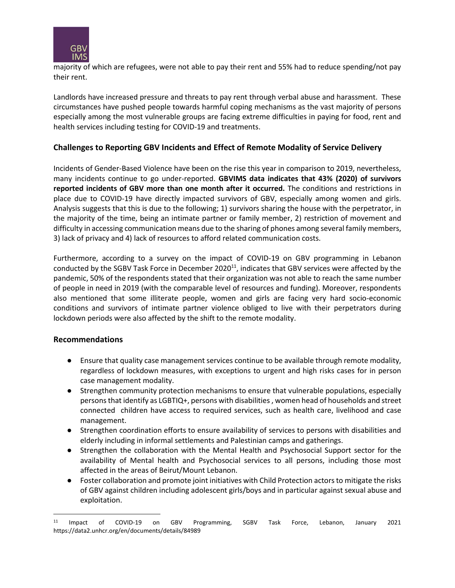

majority of which are refugees, were not able to pay their rent and 55% had to reduce spending/not pay their rent.

Landlords have increased pressure and threats to pay rent through verbal abuse and harassment. These circumstances have pushed people towards harmful coping mechanisms as the vast majority of persons especially among the most vulnerable groups are facing extreme difficulties in paying for food, rent and health services including testing for COVID-19 and treatments.

### **Challenges to Reporting GBV Incidents and Effect of Remote Modality of Service Delivery**

Incidents of Gender-Based Violence have been on the rise this year in comparison to 2019, nevertheless, many incidents continue to go under-reported. **GBVIMS data indicates that 43% (2020) of survivors reported incidents of GBV more than one month after it occurred.** The conditions and restrictions in place due to COVID-19 have directly impacted survivors of GBV, especially among women and girls. Analysis suggests that this is due to the following; 1) survivors sharing the house with the perpetrator, in the majority of the time, being an intimate partner or family member, 2) restriction of movement and difficulty in accessing communication means due to the sharing of phones among several family members, 3) lack of privacy and 4) lack of resources to afford related communication costs.

Furthermore, according to a survey on the impact of COVID-19 on GBV programming in Lebanon conducted by the SGBV Task Force in December 2020<sup>11</sup>, indicates that GBV services were affected by the pandemic, 50% of the respondents stated that their organization was not able to reach the same number of people in need in 2019 (with the comparable level of resources and funding). Moreover, respondents also mentioned that some illiterate people, women and girls are facing very hard socio-economic conditions and survivors of intimate partner violence obliged to live with their perpetrators during lockdown periods were also affected by the shift to the remote modality.

#### **Recommendations**

 $\overline{\phantom{a}}$ 

- Ensure that quality case management services continue to be available through remote modality, regardless of lockdown measures, with exceptions to urgent and high risks cases for in person case management modality.
- Strengthen community protection mechanisms to ensure that vulnerable populations, especially persons that identify as LGBTIQ+, persons with disabilities , women head of households and street connected children have access to required services, such as health care, livelihood and case management.
- Strengthen coordination efforts to ensure availability of services to persons with disabilities and elderly including in informal settlements and Palestinian camps and gatherings.
- Strengthen the collaboration with the Mental Health and Psychosocial Support sector for the availability of Mental health and Psychosocial services to all persons, including those most affected in the areas of Beirut/Mount Lebanon.
- Foster collaboration and promote joint initiatives with Child Protection actors to mitigate the risks of GBV against children including adolescent girls/boys and in particular against sexual abuse and exploitation.

<sup>11</sup> Impact of COVID-19 on GBV Programming, SGBV Task Force, Lebanon, January 2021 https://data2.unhcr.org/en/documents/details/84989